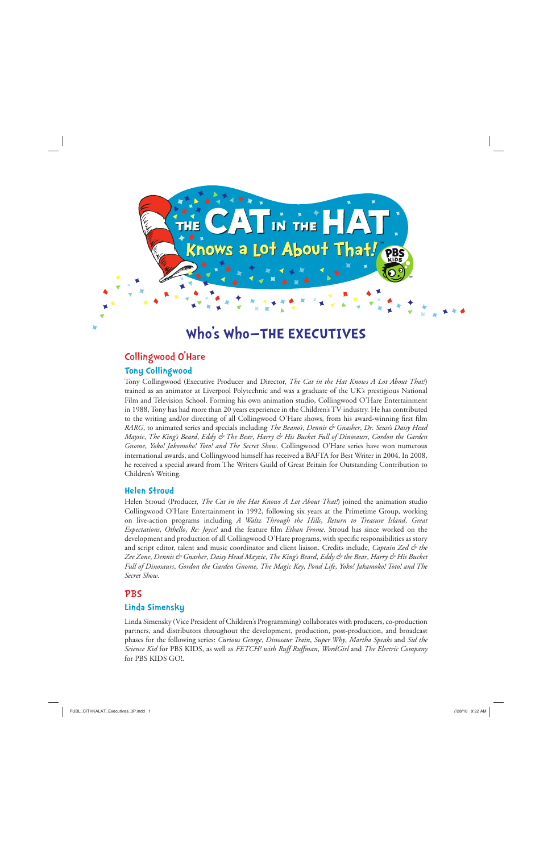

# **Who's Who—THE EXECUTIVES**

# Collingwood O'Hare **Tony Collingwood**

Tony Collingwood (Executive Producer and Director, *The Cat in the Hat Knows A Lot About That!*) trained as an animator at Liverpool Polytechnic and was a graduate of the UK's prestigious National Film and Television School. Forming his own animation studio, Collingwood O'Hare Entertainment in 1988, Tony has had more than 20 years experience in the Children's TV industry. He has contributed to the writing and/or directing of all Collingwood O'Hare shows, from his award-winning first film *RARG*, to animated series and specials including *The Beano's*, *Dennis & Gnasher*, *Dr. Seuss's Daisy Head Maysie*, *The King's Beard*, *Eddy & The Bear*, *Harry & His Bucket Full of Dinosaurs*, *Gordon the Garden Gnome*, *Yoko! Jakomoko! Toto! and The Secret Show*. Collingwood O'Hare series have won numerous international awards, and Collingwood himself has received a BAFTA for Best Writer in 2004. In 2008, he received a special award from The Writers Guild of Great Britain for Outstanding Contribution to Children's Writing.

#### **Helen Stroud**

Helen Stroud (Producer, *The Cat in the Hat Knows A Lot About That!*) joined the animation studio Collingwood O'Hare Entertainment in 1992, following six years at the Primetime Group, working on live-action programs including *A Waltz Through the Hills*, *Return to Treasure Island*, *Great Expectations*, *Othello*, *Re: Joyce!* and the feature film *Ethan Frome*. Stroud has since worked on the development and production of all Collingwood O'Hare programs, with specific responsibilities as story and script editor, talent and music coordinator and client liaison. Credits include, *Captain Zed & the Zee Zone*, *Dennis & Gnasher*, *Daisy Head Mayzie*, *The King's Beard*, *Eddy & the Bear*, *Harry & His Bucket Full of Dinosaurs*, *Gordon the Garden Gnome*, *The Magic Key*, *Pond Life*, *Yoko! Jakamoko! Toto! and The Secret Show*.

# PBS

# **Linda Simensky**

Linda Simensky (Vice President of Children's Programming) collaborates with producers, co-production partners, and distributors throughout the development, production, post-production, and broadcast phases for the following series: *Curious George*, *Dinosaur Train*, *Super Why*, *Martha Speaks* and *Sid the Science Kid* for PBS KIDS, as well as *FETCH! with Ruff Ruffman*, *WordGirl* and *The Electric Company* for PBS KIDS GO!.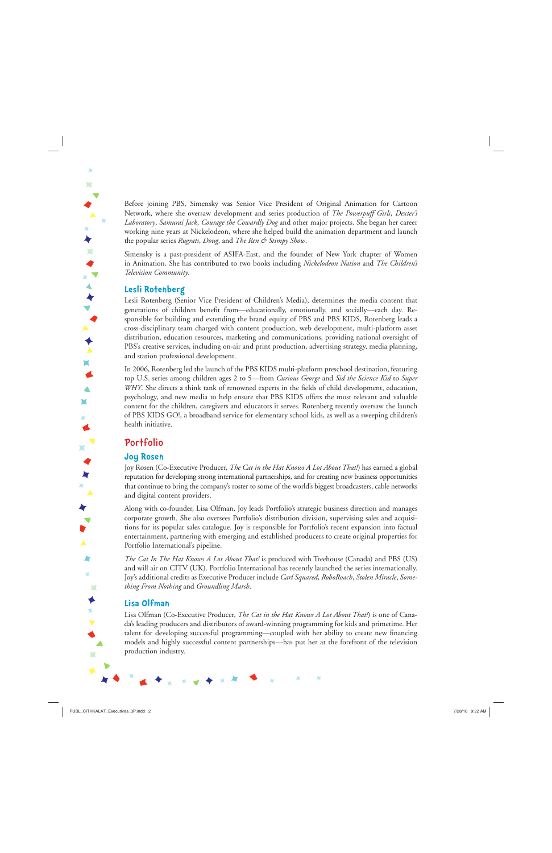Before joining PBS, Simensky was Senior Vice President of Original Animation for Cartoon Network, where she oversaw development and series production of *The Powerpuff Girls*, *Dexter's Laboratory*, *Samurai Jack*, *Courage the Cowardly Dog* and other major projects. She began her career working nine years at Nickelodeon, where she helped build the animation department and launch the popular series *Rugrats*, *Doug*, and *The Ren & Stimpy Show*.

Simensky is a past-president of ASIFA-East, and the founder of New York chapter of Women in Animation. She has contributed to two books including *Nickelodeon Nation* and *The Children's Television Community*.

#### **Lesli Rotenberg**

Lesli Rotenberg (Senior Vice President of Children's Media), determines the media content that generations of children benefit from—educationally, emotionally, and socially—each day. Responsible for building and extending the brand equity of PBS and PBS KIDS, Rotenberg leads a cross-disciplinary team charged with content production, web development, multi-platform asset distribution, education resources, marketing and communications, providing national oversight of PBS's creative services, including on-air and print production, advertising strategy, media planning, and station professional development.

In 2006, Rotenberg led the launch of the PBS KIDS multi-platform preschool destination, featuring top U.S. series among children ages 2 to 5—from *Curious George* and *Sid the Science Kid* to *Super WHY*. She directs a think tank of renowned experts in the fields of child development, education, psychology, and new media to help ensure that PBS KIDS offers the most relevant and valuable content for the children, caregivers and educators it serves. Rotenberg recently oversaw the launch of PBS KIDS GO!, a broadband service for elementary school kids, as well as a sweeping children's health initiative.

# **Portfolio**

#### **Joy Rosen**

Joy Rosen (Co-Executive Producer, *The Cat in the Hat Knows A Lot About That!*) has earned a global reputation for developing strong international partnerships, and for creating new business opportunities that continue to bring the company's roster to some of the world's biggest broadcasters, cable networks and digital content providers.

Along with co-founder, Lisa Olfman, Joy leads Portfolio's strategic business direction and manages corporate growth. She also oversees Portfolio's distribution division, supervising sales and acquisitions for its popular sales catalogue. Joy is responsible for Portfolio's recent expansion into factual entertainment, partnering with emerging and established producers to create original properties for Portfolio International's pipeline.

*The Cat In The Hat Knows A Lot About That!* is produced with Treehouse (Canada) and PBS (US) and will air on CITV (UK). Portfolio International has recently launched the series internationally. Joy's additional credits as Executive Producer include *Carl Squared*, *RoboRoach*, *Stolen Miracle*, *Something From Nothing* and *Groundling Marsh*.

#### **Lisa Olfman**

 $\blacktriangle$  $\blacksquare$ 

Lisa Olfman (Co-Executive Producer, *The Cat in the Hat Knows A Lot About That!*) is one of Canada's leading producers and distributors of award-winning programming for kids and primetime. Her talent for developing successful programming—coupled with her ability to create new financing models and highly successful content partnerships—has put her at the forefront of the television production industry.

X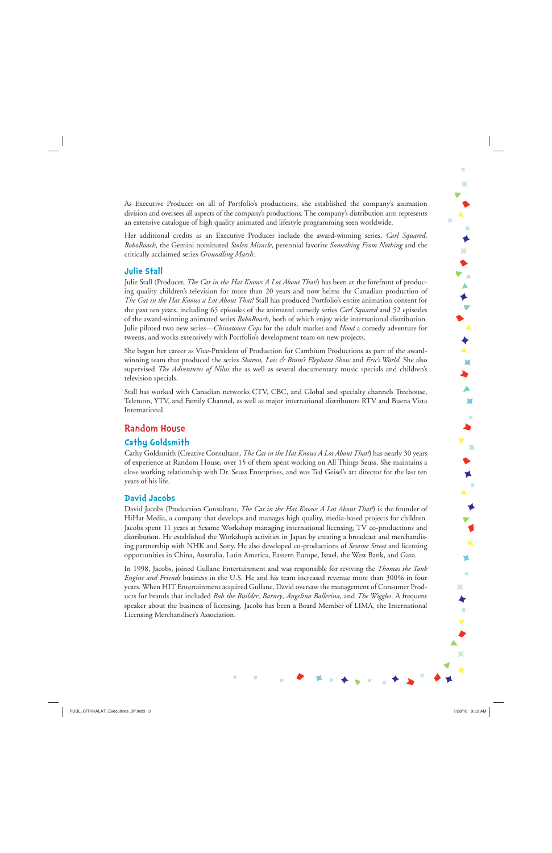$\mathbf{L}$  $\bullet$ ▼▲★▼▲★▲  $\blacksquare$  $\blacksquare$  $\blacksquare$ 

As Executive Producer on all of Portfolio's productions, she established the company's animation division and oversees all aspects of the company's productions. The company's distribution arm represents an extensive catalogue of high quality animated and lifestyle programming seen worldwide.

Her additional credits as an Executive Producer include the award-winning series, *Carl Squared*, *RoboRoach*, the Gemini nominated *Stolen Miracle*, perennial favorite *Something From Nothing* and the critically acclaimed series *Groundling Marsh*.

#### **Julie Stall**

Julie Stall (Producer, *The Cat in the Hat Knows A Lot About That!*) has been at the forefront of producing quality children's television for more than 20 years and now helms the Canadian production of *The Cat in the Hat Knows a Lot About That!* Stall has produced Portfolio's entire animation content for the past ten years, including 65 episodes of the animated comedy series *Carl Squared* and 52 episodes of the award-winning animated series *RoboRoach*, both of which enjoy wide international distribution. Julie piloted two new series—*Chinatown Cops* for the adult market and *Hood* a comedy adventure for tweens, and works extensively with Portfolio's development team on new projects.

She began her career as Vice-President of Production for Cambium Productions as part of the awardwinning team that produced the series *Sharon, Lois & Bram's Elephant Show* and *Eric's World*. She also supervised *The Adventures of Nilus* the as well as several documentary music specials and children's television specials.

Stall has worked with Canadian networks CTV, CBC, and Global and specialty channels Treehouse, Teletoon, YTV, and Family Channel, as well as major international distributors RTV and Buena Vista International.

# Random House

# **Cathy Goldsmith**

Cathy Goldsmith (Creative Consultant, *The Cat in the Hat Knows A Lot About That!*) has nearly 30 years of experience at Random House, over 15 of them spent working on All Things Seuss. She maintains a close working relationship with Dr. Seuss Enterprises, and was Ted Geisel's art director for the last ten years of his life.

# **David Jacobs**

David Jacobs (Production Consultant, *The Cat in the Hat Knows A Lot About That!*) is the founder of HiHat Media, a company that develops and manages high quality, media-based projects for children. Jacobs spent 11 years at Sesame Workshop managing international licensing, TV co-productions and distribution. He established the Workshop's activities in Japan by creating a broadcast and merchandising partnership with NHK and Sony. He also developed co-productions of *Sesame Street* and licensing opportunities in China, Australia, Latin America, Eastern Europe, Israel, the West Bank, and Gaza.

In 1998, Jacobs, joined Gullane Entertainment and was responsible for reviving the *Thomas the Tank Engine and Friends* business in the U.S. He and his team increased revenue more than 300% in four years. When HIT Entertainment acquired Gullane, David oversaw the management of Consumer Products for brands that included *Bob the Builder*, *Barney*, *Angelina Ballerina*, and *The Wiggles*. A frequent speaker about the business of licensing, Jacobs has been a Board Member of LIMA, the International Licensing Merchandiser's Association.

 $\blacksquare$